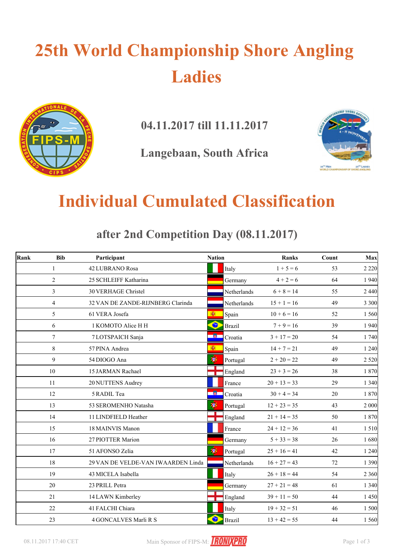# **25th World Championship Shore Angling Ladies**



**04.11.2017 till 11.11.2017**

**Langebaan, South Africa**



### **Individual Cumulated Classification**

**after 2nd Competition Day (08.11.2017)**

| Rank | <b>Bib</b>       | Participant                        | <b>Nation</b>              | <b>Ranks</b>   | Count | Max     |
|------|------------------|------------------------------------|----------------------------|----------------|-------|---------|
|      | 1                | 42 LUBRANO Rosa                    | Italy                      | $1 + 5 = 6$    | 53    | 2 2 2 0 |
|      | $\overline{2}$   | 25 SCHLEIFF Katharina              | Germany                    | $4 + 2 = 6$    | 64    | 1 9 4 0 |
|      | $\overline{3}$   | <b>30 VERHAGE Christel</b>         | Netherlands                | $6 + 8 = 14$   | 55    | 2 4 4 0 |
|      | $\overline{4}$   | 32 VAN DE ZANDE-RIJNBERG Clarinda  | <b>Netherlands</b>         | $15 + 1 = 16$  | 49    | 3 3 0 0 |
|      | 5                | 61 VERA Josefa                     | Ñ.<br>Spain                | $10 + 6 = 16$  | 52    | 1 5 6 0 |
|      | 6                | 1 KOMOTO Alice H H                 | $\bullet$<br><b>Brazil</b> | $7 + 9 = 16$   | 39    | 1 9 4 0 |
|      | $\overline{7}$   | 7 LOTSPAICH Sanja                  | ■ 徽<br>Croatia             | $3 + 17 = 20$  | 54    | 1 740   |
|      | 8                | 57 PINA Andrea                     | 画<br>Spain                 | $14 + 7 = 21$  | 49    | 1 2 4 0 |
|      | 9                | 54 DIOGO Ana                       | 萝<br>Portugal              | $2 + 20 = 22$  | 49    | 2 5 20  |
|      | 10 <sup>10</sup> | 15 JARMAN Rachael                  | England                    | $23 + 3 = 26$  | 38    | 1 870   |
|      | 11               | 20 NUTTENS Audrey                  | France                     | $20 + 13 = 33$ | 29    | 1 3 4 0 |
|      | 12               | 5 RADIL Tea                        | -187<br>Croatia            | $30 + 4 = 34$  | 20    | 1 8 7 0 |
|      | 13               | 53 SEROMENHO Natasha               | 變<br>Portugal              | $12 + 23 = 35$ | 43    | 2 0 0 0 |
|      | 14               | 11 LINDFIELD Heather               | England                    | $21 + 14 = 35$ | 50    | 1 870   |
|      | 15               | 18 MAINVIS Manon                   | France                     | $24 + 12 = 36$ | 41    | 1 5 1 0 |
|      | 16               | 27 PIOTTER Marion                  | Germany                    | $5 + 33 = 38$  | 26    | 1680    |
|      | 17               | 51 AFONSO Zelia                    | Ŵ<br>Portugal              | $25 + 16 = 41$ | 42    | 1 2 4 0 |
|      | 18               | 29 VAN DE VELDE-VAN IWAARDEN Linda | Netherlands                | $16 + 27 = 43$ | 72    | 1 3 9 0 |
|      | 19               | 43 MICELA Isabella                 | Italy                      | $26 + 18 = 44$ | 54    | 2 3 6 0 |
|      | 20               | 23 PRILL Petra                     | Germany                    | $27 + 21 = 48$ | 61    | 1 3 4 0 |
|      | 21               | 14 LAWN Kimberley                  | England                    | $39 + 11 = 50$ | 44    | 1 4 5 0 |
|      | 22               | 41 FALCHI Chiara                   | Italy                      | $19 + 32 = 51$ | 46    | 1 500   |
|      | 23               | 4 GONCALVES Marli R S              | $\bullet$<br><b>Brazil</b> | $13 + 42 = 55$ | 44    | 1 5 6 0 |

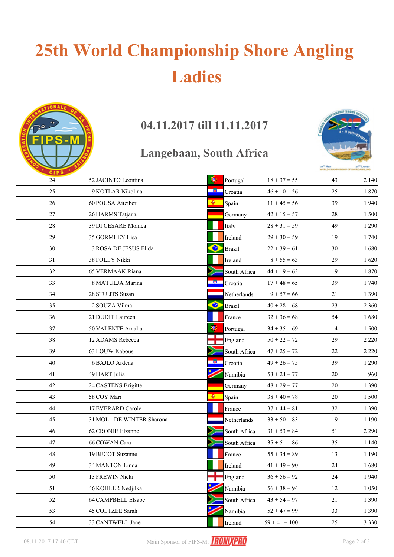# **25th World Championship Shore Angling Ladies**



### **04.11.2017 till 11.11.2017**

#### **Langebaan, South Africa**



| CIPS <sup>1</sup> |                            |              |               |                 | <b>MOBED CH</b> | <b>SHIP OF SHORE ANGLING</b> |
|-------------------|----------------------------|--------------|---------------|-----------------|-----------------|------------------------------|
| 24                | 52 JACINTO Leontina        | 瀏            | Portugal      | $18 + 37 = 55$  | 43              | 2 1 4 0                      |
| 25                | 9 KOTLAR Nikolina          | -81          | Croatia       | $46 + 10 = 56$  | 25              | 1870                         |
| 26                | 60 POUSA Aitziber          | 圈            | Spain         | $11 + 45 = 56$  | 39              | 1940                         |
| 27                | 26 HARMS Tatjana           |              | Germany       | $42 + 15 = 57$  | 28              | 1 500                        |
| 28                | 39 DI CESARE Monica        |              | Italy         | $28 + 31 = 59$  | 49              | 1 2 9 0                      |
| 29                | 35 GORMLEY Lisa            |              | Ireland       | $29 + 30 = 59$  | 19              | 1 740                        |
| 30                | 3 ROSA DE JESUS Elida      | $\bullet$    | <b>Brazil</b> | $22 + 39 = 61$  | 30              | 1680                         |
| 31                | 38 FOLEY Nikki             |              | Ireland       | $8 + 55 = 63$   | 29              | 1620                         |
| 32                | <b>65 VERMAAK Riana</b>    |              | South Africa  | $44 + 19 = 63$  | 19              | 1870                         |
| 33                | 8 MATULJA Marina           | <b>A</b> 1   | Croatia       | $17 + 48 = 65$  | 39              | 1 740                        |
| 34                | 28 STUIJTS Susan           |              | Netherlands   | $9 + 57 = 66$   | 21              | 1 3 9 0                      |
| 35                | 2 SOUZA Vilma              | $\bullet$    | <b>Brazil</b> | $40 + 28 = 68$  | 23              | 2 3 6 0                      |
| 36                | 21 DUDIT Laureen           |              | France        | $32 + 36 = 68$  | 54              | 1680                         |
| 37                | 50 VALENTE Amalia          | 萝            | Portugal      | $34 + 35 = 69$  | 14              | 1 500                        |
| 38                | 12 ADAMS Rebecca           |              | England       | $50 + 22 = 72$  | 29              | 2 2 2 0                      |
| 39                | 63 LOUW Kabous             |              | South Africa  | $47 + 25 = 72$  | 22              | 2 2 2 0                      |
| 40                | 6 BAJLO Ardena             | <b>RADIO</b> | Croatia       | $49 + 26 = 75$  | 39              | 1 2 9 0                      |
| 41                | 49 HART Julia              |              | Namibia       | $53 + 24 = 77$  | 20              | 960                          |
| 42                | 24 CASTENS Brigitte        |              | Germany       | $48 + 29 = 77$  | 20              | 1 3 9 0                      |
| 43                | 58 COY Mari                | Đ.           | Spain         | $38 + 40 = 78$  | 20              | 1500                         |
| 44                | 17 EVERARD Carole          |              | France        | $37 + 44 = 81$  | 32              | 1 3 9 0                      |
| 45                | 31 MOL - DE WINTER Sharona |              | Netherlands   | $33 + 50 = 83$  | 19              | 1 1 9 0                      |
| 46                | 62 CRONJE Elzanne          |              | South Africa  | $31 + 53 = 84$  | 51              | 2 2 9 0                      |
| 47                | 66 COWAN Cara              |              | South Africa  | $35 + 51 = 86$  | 35              | 1 1 4 0                      |
| 48                | 19 BECOT Suzanne           |              | France        | $55 + 34 = 89$  | 13              | 1 1 9 0                      |
| 49                | 34 MANTON Linda            |              | Ireland       | $41 + 49 = 90$  | $24\,$          | 1680                         |
| 50                | 13 FREWIN Nicki            |              | England       | $36 + 56 = 92$  | 24              | 1940                         |
| 51                | 46 KOHLER Nedjilka         |              | Namibia       | $56 + 38 = 94$  | 12              | 1 0 5 0                      |
| 52                | 64 CAMPBELL Elsabe         |              | South Africa  | $43 + 54 = 97$  | 21              | 1 3 9 0                      |
| 53                | 45 COETZEE Sarah           |              | Namibia       | $52 + 47 = 99$  | 33              | 1 3 9 0                      |
| 54                | 33 CANTWELL Jane           |              | Ireland       | $59 + 41 = 100$ | 25              | 3 3 3 0                      |